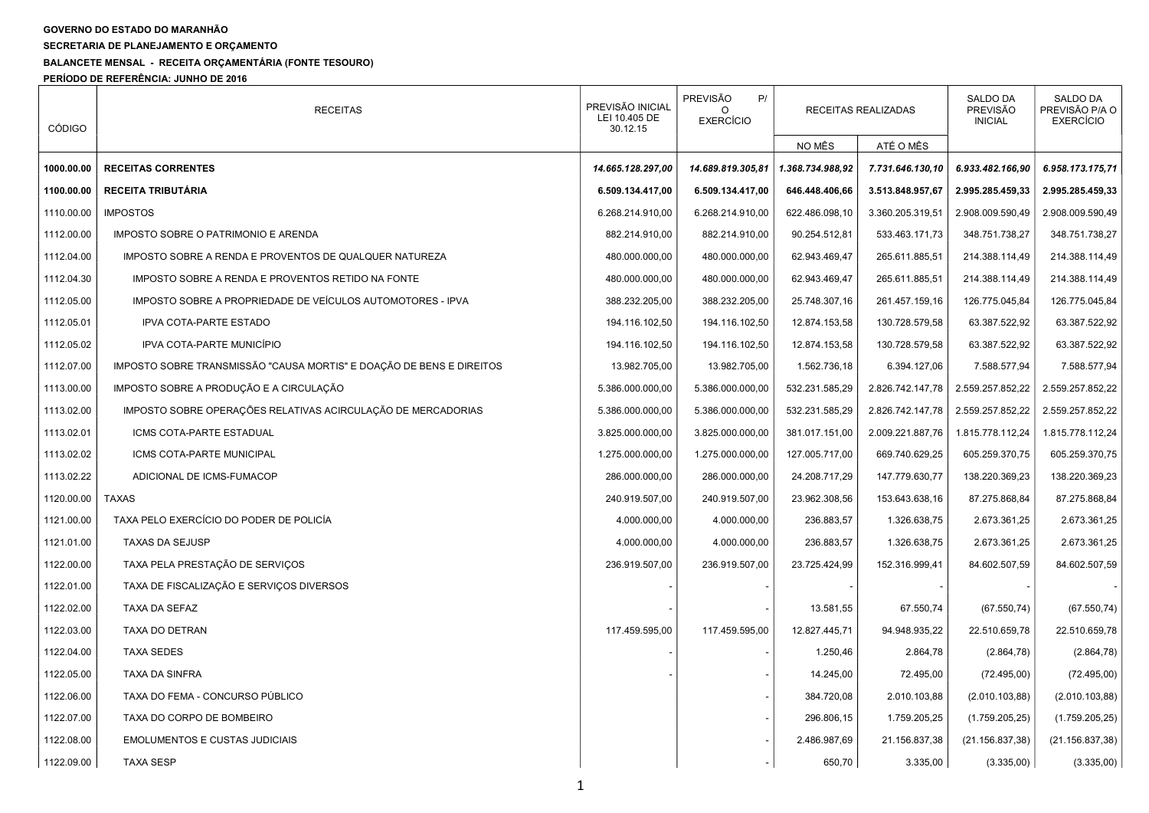## GOVERNO DO ESTADO DO MARANHÃO

SECRETARIA DE PLANEJAMENTO E ORÇAMENTO

## BALANCETE MENSAL - RECEITA ORÇAMENTÁRIA (FONTE TESOURO)

PERÍODO DE REFERÊNCIA: JUNHO DE 2016

| <b>CÓDIGO</b> | <b>RECEITAS</b>                                                      | PREVISÃO INICIAL<br>LEI 10.405 DE<br>30.12.15 | <b>PREVISÃO</b><br>P/<br><b>EXERCÍCIO</b> | RECEITAS REALIZADAS |                  | <b>SALDO DA</b><br><b>PREVISÃO</b><br><b>INICIAL</b> | <b>SALDO DA</b><br>PREVISÃO P/A O<br><b>EXERCÍCIO</b> |
|---------------|----------------------------------------------------------------------|-----------------------------------------------|-------------------------------------------|---------------------|------------------|------------------------------------------------------|-------------------------------------------------------|
|               |                                                                      |                                               |                                           | NO MÊS              | ATÉ O MÊS        |                                                      |                                                       |
| 1000.00.00    | <b>RECEITAS CORRENTES</b>                                            | 14.665.128.297,00                             | 14.689.819.305,81                         | 1.368.734.988,92    | 7.731.646.130,10 | 6.933.482.166,90                                     | 6.958.173.175,71                                      |
| 1100.00.00    | <b>RECEITA TRIBUTÁRIA</b>                                            | 6.509.134.417,00                              | 6.509.134.417,00                          | 646.448.406,66      | 3.513.848.957,67 | 2.995.285.459,33                                     | 2.995.285.459,33                                      |
| 1110.00.00    | <b>IMPOSTOS</b>                                                      | 6.268.214.910,00                              | 6.268.214.910,00                          | 622.486.098.10      | 3.360.205.319,51 | 2.908.009.590,49                                     | 2.908.009.590,49                                      |
| 1112.00.00    | IMPOSTO SOBRE O PATRIMONIO E ARENDA                                  | 882.214.910,00                                | 882.214.910,00                            | 90.254.512,81       | 533.463.171,73   | 348.751.738,27                                       | 348.751.738,27                                        |
| 1112.04.00    | IMPOSTO SOBRE A RENDA E PROVENTOS DE QUALQUER NATUREZA               | 480.000.000,00                                | 480.000.000,00                            | 62.943.469,47       | 265.611.885,51   | 214.388.114,49                                       | 214.388.114,49                                        |
| 1112.04.30    | IMPOSTO SOBRE A RENDA E PROVENTOS RETIDO NA FONTE                    | 480.000.000.00                                | 480.000.000,00                            | 62.943.469,47       | 265.611.885,51   | 214.388.114,49                                       | 214.388.114,49                                        |
| 1112.05.00    | IMPOSTO SOBRE A PROPRIEDADE DE VEÍCULOS AUTOMOTORES - IPVA           | 388.232.205,00                                | 388.232.205,00                            | 25.748.307,16       | 261.457.159,16   | 126.775.045,84                                       | 126.775.045,84                                        |
| 1112.05.01    | <b>IPVA COTA-PARTE ESTADO</b>                                        | 194.116.102,50                                | 194.116.102,50                            | 12.874.153,58       | 130.728.579,58   | 63.387.522,92                                        | 63.387.522,92                                         |
| 1112.05.02    | IPVA COTA-PARTE MUNICÍPIO                                            | 194.116.102.50                                | 194.116.102,50                            | 12.874.153,58       | 130.728.579,58   | 63.387.522,92                                        | 63.387.522,92                                         |
| 1112.07.00    | IMPOSTO SOBRE TRANSMISSÃO "CAUSA MORTIS" E DOAÇÃO DE BENS E DIREITOS | 13.982.705,00                                 | 13.982.705,00                             | 1.562.736,18        | 6.394.127,06     | 7.588.577,94                                         | 7.588.577,94                                          |
| 1113.00.00    | IMPOSTO SOBRE A PRODUÇÃO E A CIRCULAÇÃO                              | 5.386.000.000,00                              | 5.386.000.000,00                          | 532.231.585,29      | 2.826.742.147,78 | 2.559.257.852,22                                     | 2.559.257.852,22                                      |
| 1113.02.00    | IMPOSTO SOBRE OPERAÇÕES RELATIVAS ACIRCULAÇÃO DE MERCADORIAS         | 5.386.000.000,00                              | 5.386.000.000,00                          | 532.231.585,29      | 2.826.742.147,78 | 2.559.257.852,22                                     | 2.559.257.852,22                                      |
| 1113.02.01    | ICMS COTA-PARTE ESTADUAL                                             | 3.825.000.000,00                              | 3.825.000.000,00                          | 381.017.151,00      | 2.009.221.887,76 | 1.815.778.112,24                                     | 1.815.778.112,24                                      |
| 1113.02.02    | ICMS COTA-PARTE MUNICIPAL                                            | 1.275.000.000,00                              | 1.275.000.000,00                          | 127.005.717,00      | 669.740.629,25   | 605.259.370,75                                       | 605.259.370,75                                        |
| 1113.02.22    | ADICIONAL DE ICMS-FUMACOP                                            | 286.000.000,00                                | 286.000.000,00                            | 24.208.717,29       | 147.779.630,77   | 138.220.369,23                                       | 138.220.369,23                                        |
| 1120.00.00    | <b>TAXAS</b>                                                         | 240.919.507,00                                | 240.919.507,00                            | 23.962.308,56       | 153.643.638,16   | 87.275.868,84                                        | 87.275.868,84                                         |
| 1121.00.00    | TAXA PELO EXERCÍCIO DO PODER DE POLICÍA                              | 4.000.000,00                                  | 4.000.000,00                              | 236.883,57          | 1.326.638,75     | 2.673.361,25                                         | 2.673.361,25                                          |
| 1121.01.00    | <b>TAXAS DA SEJUSP</b>                                               | 4.000.000,00                                  | 4.000.000,00                              | 236.883,57          | 1.326.638,75     | 2.673.361,25                                         | 2.673.361,25                                          |
| 1122.00.00    | TAXA PELA PRESTAÇÃO DE SERVIÇOS                                      | 236.919.507,00                                | 236.919.507,00                            | 23.725.424,99       | 152.316.999,41   | 84.602.507,59                                        | 84.602.507,59                                         |
| 1122.01.00    | TAXA DE FISCALIZAÇÃO E SERVIÇOS DIVERSOS                             |                                               |                                           |                     |                  |                                                      |                                                       |
| 1122.02.00    | TAXA DA SEFAZ                                                        |                                               |                                           | 13.581,55           | 67.550,74        | (67.550, 74)                                         | (67.550, 74)                                          |
| 1122.03.00    | TAXA DO DETRAN                                                       | 117.459.595.00                                | 117.459.595,00                            | 12.827.445,71       | 94.948.935.22    | 22.510.659.78                                        | 22.510.659.78                                         |
| 1122.04.00    | <b>TAXA SEDES</b>                                                    |                                               |                                           | 1.250,46            | 2.864,78         | (2.864, 78)                                          | (2.864, 78)                                           |
| 1122.05.00    | TAXA DA SINFRA                                                       |                                               |                                           | 14.245,00           | 72.495,00        | (72.495,00)                                          | (72.495,00)                                           |
| 1122.06.00    | TAXA DO FEMA - CONCURSO PÚBLICO                                      |                                               |                                           | 384.720,08          | 2.010.103,88     | (2.010.103,88)                                       | (2.010.103,88)                                        |
| 1122.07.00    | TAXA DO CORPO DE BOMBEIRO                                            |                                               |                                           | 296.806,15          | 1.759.205,25     | (1.759.205, 25)                                      | (1.759.205, 25)                                       |
| 1122.08.00    | <b>EMOLUMENTOS E CUSTAS JUDICIAIS</b>                                |                                               |                                           | 2.486.987,69        | 21.156.837,38    | (21.156.837,38)                                      | (21.156.837,38)                                       |
| 1122.09.00    | <b>TAXA SESP</b>                                                     |                                               |                                           | 650,70              | 3.335,00         | (3.335,00)                                           | (3.335,00)                                            |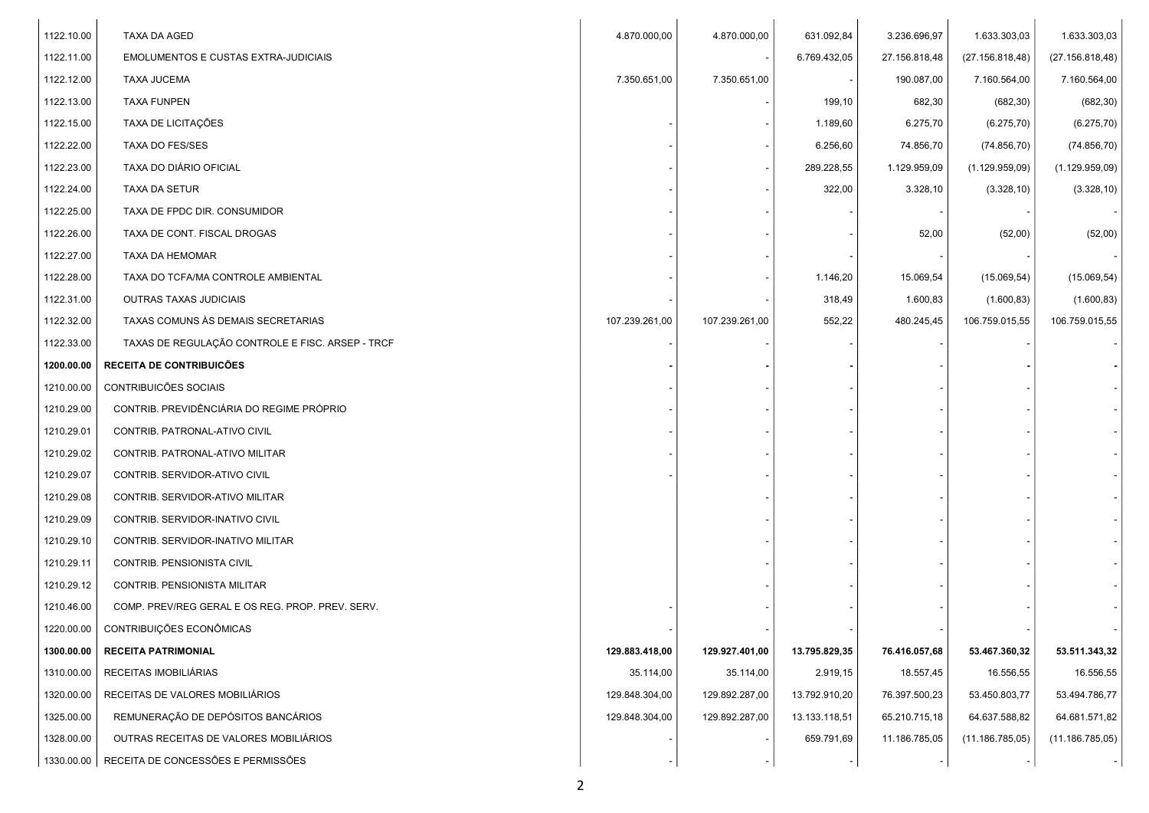| 1122.10.00 | TAXA DA AGED                                     | 4.870.000,00   | 4.870.000,00   | 631.092,84    | 3.236.696,97  | 1.633.303,03    | 1.633.303,03    |
|------------|--------------------------------------------------|----------------|----------------|---------------|---------------|-----------------|-----------------|
| 1122.11.00 | <b>EMOLUMENTOS E CUSTAS EXTRA-JUDICIAIS</b>      |                |                | 6.769.432,05  | 27.156.818,48 | (27.156.818,48) | (27.156.818,48) |
| 1122.12.00 | <b>TAXA JUCEMA</b>                               | 7.350.651,00   | 7.350.651,00   |               | 190.087,00    | 7.160.564,00    | 7.160.564,00    |
| 1122.13.00 | <b>TAXA FUNPEN</b>                               |                |                | 199,10        | 682,30        | (682, 30)       | (682, 30)       |
| 1122.15.00 | TAXA DE LICITAÇÕES                               |                |                | 1.189,60      | 6.275,70      | (6.275, 70)     | (6.275, 70)     |
| 1122.22.00 | TAXA DO FES/SES                                  |                |                | 6.256,60      | 74.856,70     | (74.856, 70)    | (74.856, 70)    |
| 1122.23.00 | TAXA DO DIÁRIO OFICIAL                           |                |                | 289.228,55    | 1.129.959,09  | (1.129.959,09)  | (1.129.959,09)  |
| 1122.24.00 | TAXA DA SETUR                                    |                |                | 322,00        | 3.328,10      | (3.328, 10)     | (3.328, 10)     |
| 1122.25.00 | TAXA DE FPDC DIR. CONSUMIDOR                     |                |                |               |               |                 |                 |
| 1122.26.00 | TAXA DE CONT. FISCAL DROGAS                      |                |                |               | 52,00         | (52,00)         | (52,00)         |
| 1122.27.00 | TAXA DA HEMOMAR                                  |                |                |               |               |                 |                 |
| 1122.28.00 | TAXA DO TCFA/MA CONTROLE AMBIENTAL               |                |                | 1.146,20      | 15.069,54     | (15.069, 54)    | (15.069, 54)    |
| 1122.31.00 | <b>OUTRAS TAXAS JUDICIAIS</b>                    |                |                | 318,49        | 1.600,83      | (1.600, 83)     | (1.600, 83)     |
| 1122.32.00 | TAXAS COMUNS ÀS DEMAIS SECRETARIAS               | 107.239.261,00 | 107.239.261,00 | 552,22        | 480.245,45    | 106.759.015,55  | 106.759.015,55  |
| 1122.33.00 | TAXAS DE REGULAÇÃO CONTROLE E FISC. ARSEP - TRCF |                |                |               |               |                 |                 |
| 1200.00.00 | RECEITA DE CONTRIBUICÕES                         |                |                |               |               |                 |                 |
| 1210.00.00 | CONTRIBUICÕES SOCIAIS                            |                |                |               |               |                 |                 |
| 1210.29.00 | CONTRIB. PREVIDÊNCIÁRIA DO REGIME PRÓPRIO        |                |                |               |               |                 |                 |
| 1210.29.01 | CONTRIB. PATRONAL-ATIVO CIVIL                    |                |                |               |               |                 |                 |
| 1210.29.02 | CONTRIB. PATRONAL-ATIVO MILITAR                  |                |                |               |               |                 |                 |
| 1210.29.07 | CONTRIB. SERVIDOR-ATIVO CIVIL                    |                |                |               |               |                 |                 |
| 1210.29.08 | CONTRIB. SERVIDOR-ATIVO MILITAR                  |                |                |               |               |                 |                 |
| 1210.29.09 | CONTRIB. SERVIDOR-INATIVO CIVIL                  |                |                |               |               |                 |                 |
| 1210.29.10 | CONTRIB. SERVIDOR-INATIVO MILITAR                |                |                |               |               |                 |                 |
| 1210.29.11 | CONTRIB. PENSIONISTA CIVIL                       |                |                |               |               |                 |                 |
| 1210.29.12 | CONTRIB. PENSIONISTA MILITAR                     |                |                |               |               |                 |                 |
| 1210.46.00 | COMP. PREV/REG GERAL E OS REG. PROP. PREV. SERV. |                |                |               |               |                 |                 |
| 1220.00.00 | CONTRIBUIÇÕES ECONÔMICAS                         |                |                |               |               |                 |                 |
| 1300.00.00 | <b>RECEITA PATRIMONIAL</b>                       | 129.883.418,00 | 129.927.401,00 | 13.795.829,35 | 76.416.057,68 | 53.467.360,32   | 53.511.343,32   |
| 1310.00.00 | RECEITAS IMOBILIÁRIAS                            | 35.114,00      | 35.114,00      | 2.919,15      | 18.557,45     | 16.556,55       | 16.556,55       |
| 1320.00.00 | RECEITAS DE VALORES MOBILIÁRIOS                  | 129.848.304,00 | 129.892.287,00 | 13.792.910,20 | 76.397.500,23 | 53.450.803,77   | 53.494.786,77   |
| 1325.00.00 | REMUNERAÇÃO DE DEPÓSITOS BANCÁRIOS               | 129.848.304,00 | 129.892.287,00 | 13.133.118,51 | 65.210.715,18 | 64.637.588,82   | 64.681.571,82   |
| 1328.00.00 | OUTRAS RECEITAS DE VALORES MOBILIÁRIOS           |                |                | 659.791,69    | 11.186.785,05 | (11.186.785,05) | (11.186.785,05) |
|            | 1330.00.00   RECEITA DE CONCESSÕES E PERMISSÕES  |                |                |               |               |                 |                 |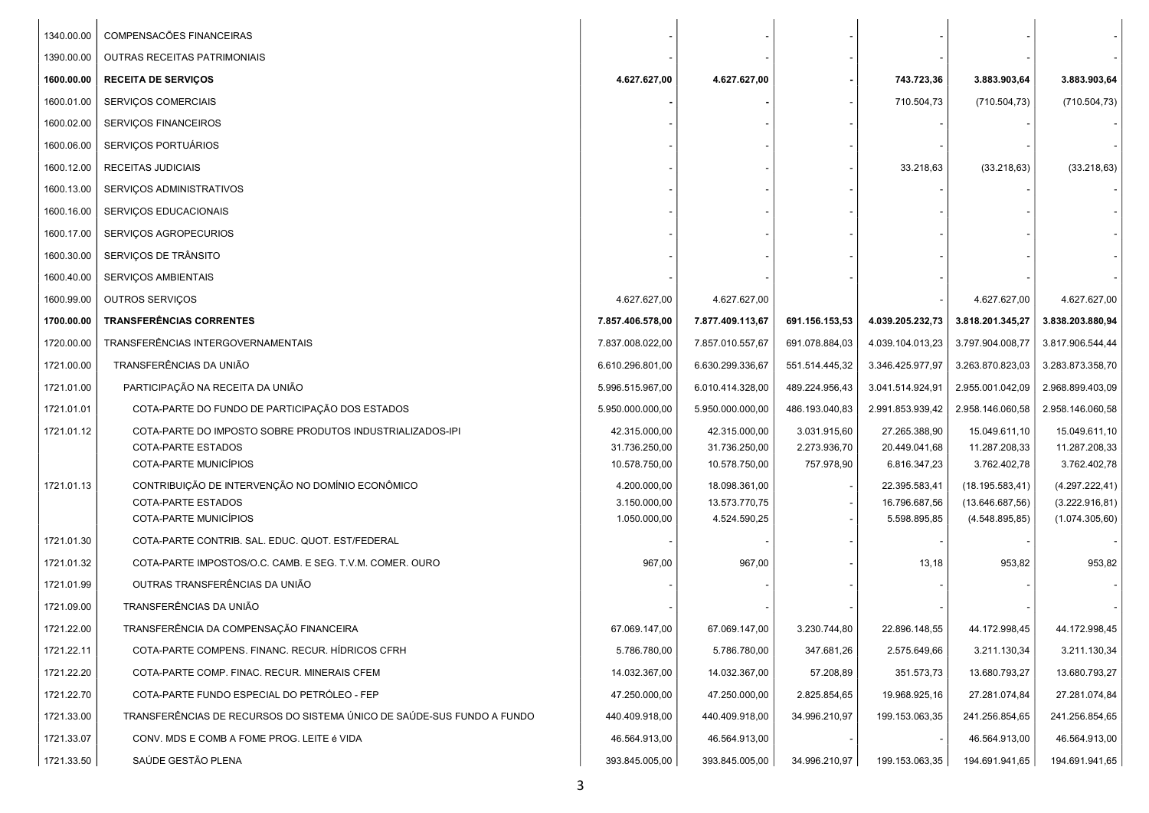| 1340.00.00 | COMPENSACÕES FINANCEIRAS                                                  |                               |                                |                |                               |                                      |                                    |
|------------|---------------------------------------------------------------------------|-------------------------------|--------------------------------|----------------|-------------------------------|--------------------------------------|------------------------------------|
| 1390.00.00 | <b>OUTRAS RECEITAS PATRIMONIAIS</b>                                       |                               |                                |                |                               |                                      |                                    |
| 1600.00.00 | <b>RECEITA DE SERVIÇOS</b>                                                | 4.627.627,00                  | 4.627.627,00                   |                | 743.723,36                    | 3.883.903,64                         | 3.883.903,64                       |
| 1600.01.00 | <b>SERVIÇOS COMERCIAIS</b>                                                |                               |                                |                | 710.504,73                    | (710.504, 73)                        | (710.504, 73)                      |
| 1600.02.00 | <b>SERVIÇOS FINANCEIROS</b>                                               |                               |                                |                |                               |                                      |                                    |
| 1600.06.00 | SERVIÇOS PORTUÁRIOS                                                       |                               |                                |                |                               |                                      |                                    |
| 1600.12.00 | RECEITAS JUDICIAIS                                                        |                               |                                |                | 33.218,63                     | (33.218, 63)                         | (33.218, 63)                       |
| 1600.13.00 | SERVIÇOS ADMINISTRATIVOS                                                  |                               |                                |                |                               |                                      |                                    |
| 1600.16.00 | SERVIÇOS EDUCACIONAIS                                                     |                               |                                |                |                               |                                      |                                    |
| 1600.17.00 | SERVIÇOS AGROPECURIOS                                                     |                               |                                |                |                               |                                      |                                    |
| 1600.30.00 | SERVIÇOS DE TRÂNSITO                                                      |                               |                                |                |                               |                                      |                                    |
| 1600.40.00 | SERVIÇOS AMBIENTAIS                                                       |                               |                                |                |                               |                                      |                                    |
| 1600.99.00 | OUTROS SERVIÇOS                                                           | 4.627.627,00                  | 4.627.627,00                   |                |                               | 4.627.627,00                         | 4.627.627,00                       |
| 1700.00.00 | <b>TRANSFERÊNCIAS CORRENTES</b>                                           | 7.857.406.578,00              | 7.877.409.113,67               | 691.156.153,53 | 4.039.205.232,73              | 3.818.201.345,27                     | 3.838.203.880,94                   |
| 1720.00.00 | TRANSFERÊNCIAS INTERGOVERNAMENTAIS                                        | 7.837.008.022,00              | 7.857.010.557,67               | 691.078.884,03 | 4.039.104.013,23              | 3.797.904.008,77                     | 3.817.906.544,44                   |
| 1721.00.00 | TRANSFERÊNCIAS DA UNIÃO                                                   | 6.610.296.801,00              | 6.630.299.336,67               | 551.514.445,32 | 3.346.425.977,97              | 3.263.870.823,03                     | 3.283.873.358,70                   |
| 1721.01.00 | PARTICIPAÇÃO NA RECEITA DA UNIÃO                                          | 5.996.515.967,00              | 6.010.414.328,00               | 489.224.956,43 | 3.041.514.924,91              | 2.955.001.042,09                     | 2.968.899.403,09                   |
| 1721.01.01 | COTA-PARTE DO FUNDO DE PARTICIPAÇÃO DOS ESTADOS                           | 5.950.000.000,00              | 5.950.000.000,00               | 486.193.040,83 | 2.991.853.939,42              | 2.958.146.060,58                     | 2.958.146.060,58                   |
| 1721.01.12 | COTA-PARTE DO IMPOSTO SOBRE PRODUTOS INDUSTRIALIZADOS-IPI                 | 42.315.000,00                 | 42.315.000,00                  | 3.031.915,60   | 27.265.388,90                 | 15.049.611,10                        | 15.049.611,10                      |
|            | COTA-PARTE ESTADOS                                                        | 31.736.250,00                 | 31.736.250,00                  | 2.273.936,70   | 20.449.041,68                 | 11.287.208,33                        | 11.287.208,33                      |
| 1721.01.13 | COTA-PARTE MUNICIPIOS<br>CONTRIBUIÇÃO DE INTERVENÇÃO NO DOMÍNIO ECONÔMICO | 10.578.750,00<br>4.200.000,00 | 10.578.750,00<br>18.098.361,00 | 757.978,90     | 6.816.347,23<br>22.395.583,41 | 3.762.402,78                         | 3.762.402,78                       |
|            | COTA-PARTE ESTADOS                                                        | 3.150.000,00                  | 13.573.770,75                  |                | 16.796.687,56                 | (18.195.583, 41)<br>(13.646.687, 56) | (4.297.222, 41)<br>(3.222.916, 81) |
|            | COTA-PARTE MUNICÍPIOS                                                     | 1.050.000,00                  | 4.524.590,25                   |                | 5.598.895,85                  | (4.548.895, 85)                      | (1.074.305, 60)                    |
| 1721.01.30 | COTA-PARTE CONTRIB. SAL. EDUC. QUOT. EST/FEDERAL                          |                               |                                |                |                               |                                      |                                    |
| 1721.01.32 | COTA-PARTE IMPOSTOS/O.C. CAMB. E SEG. T.V.M. COMER. OURO                  | 967,00                        | 967,00                         |                | 13,18                         | 953,82                               | 953,82                             |
| 1721.01.99 | OUTRAS TRANSFERÊNCIAS DA UNIÃO                                            |                               |                                |                |                               |                                      |                                    |
| 1721.09.00 | TRANSFERÊNCIAS DA UNIÃO                                                   |                               |                                |                |                               |                                      |                                    |
| 1721.22.00 | TRANSFERÊNCIA DA COMPENSAÇÃO FINANCEIRA                                   | 67.069.147,00                 | 67.069.147,00                  | 3.230.744,80   | 22.896.148,55                 | 44.172.998,45                        | 44.172.998,45                      |
| 1721.22.11 | COTA-PARTE COMPENS, FINANC, RECUR, HÍDRICOS CFRH                          | 5.786.780,00                  | 5.786.780,00                   | 347.681,26     | 2.575.649,66                  | 3.211.130,34                         | 3.211.130,34                       |
| 1721.22.20 | COTA-PARTE COMP. FINAC. RECUR. MINERAIS CFEM                              | 14.032.367,00                 | 14.032.367,00                  | 57.208,89      | 351.573,73                    | 13.680.793,27                        | 13.680.793,27                      |
| 1721.22.70 | COTA-PARTE FUNDO ESPECIAL DO PETRÓLEO - FEP                               | 47.250.000,00                 | 47.250.000,00                  | 2.825.854,65   | 19.968.925,16                 | 27.281.074,84                        | 27.281.074,84                      |
| 1721.33.00 | TRANSFERÊNCIAS DE RECURSOS DO SISTEMA ÚNICO DE SAÚDE-SUS FUNDO A FUNDO    | 440.409.918,00                | 440.409.918,00                 | 34.996.210,97  | 199.153.063,35                | 241.256.854,65                       | 241.256.854,65                     |
| 1721.33.07 | CONV. MDS E COMB A FOME PROG. LEITE é VIDA                                | 46.564.913,00                 | 46.564.913,00                  |                |                               | 46.564.913,00                        | 46.564.913,00                      |
| 1721.33.50 | SAÚDE GESTÃO PLENA                                                        | 393.845.005,00                | 393.845.005,00                 | 34.996.210,97  | 199.153.063,35                | 194.691.941,65                       | 194.691.941,65                     |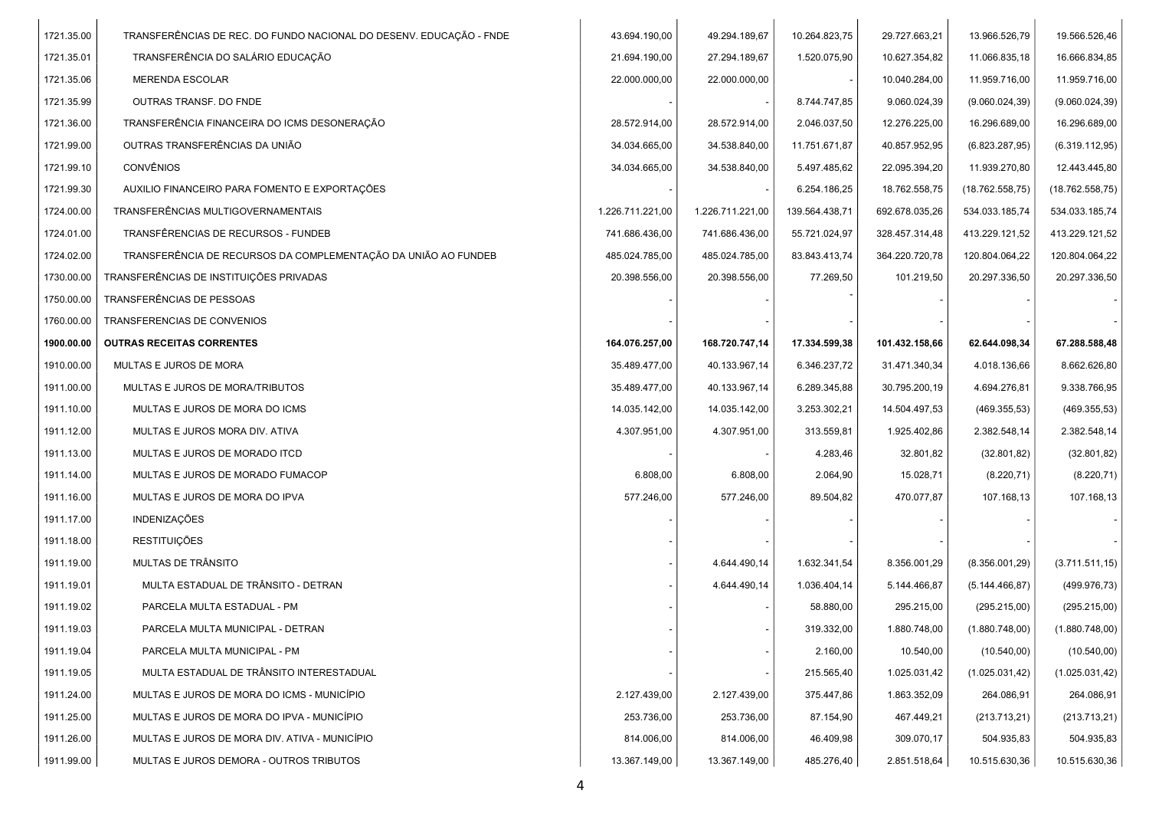| 1721.35.00 | TRANSFERÊNCIAS DE REC. DO FUNDO NACIONAL DO DESENV. EDUCAÇÃO - FNDE | 43.694.190,00    | 49.294.189,67    | 10.264.823,75  | 29.727.663,21  | 13.966.526,79   | 19.566.526,46   |  |
|------------|---------------------------------------------------------------------|------------------|------------------|----------------|----------------|-----------------|-----------------|--|
| 1721.35.01 | TRANSFERÊNCIA DO SALÁRIO EDUCAÇÃO                                   | 21.694.190,00    | 27.294.189,67    | 1.520.075,90   | 10.627.354,82  | 11.066.835,18   | 16.666.834,85   |  |
| 1721.35.06 | <b>MERENDA ESCOLAR</b>                                              | 22.000.000,00    | 22.000.000,00    |                | 10.040.284,00  | 11.959.716,00   | 11.959.716,00   |  |
| 1721.35.99 | OUTRAS TRANSF, DO FNDE                                              |                  |                  | 8.744.747,85   | 9.060.024,39   | (9.060.024, 39) | (9.060.024, 39) |  |
| 1721.36.00 | TRANSFERÊNCIA FINANCEIRA DO ICMS DESONERAÇÃO                        | 28.572.914,00    | 28.572.914,00    | 2.046.037,50   | 12.276.225,00  | 16.296.689,00   | 16.296.689,00   |  |
| 1721.99.00 | OUTRAS TRANSFERÊNCIAS DA UNIÃO                                      | 34.034.665,00    | 34.538.840,00    | 11.751.671,87  | 40.857.952,95  | (6.823.287,95)  | (6.319.112,95)  |  |
| 1721.99.10 | <b>CONVÊNIOS</b>                                                    | 34.034.665,00    | 34.538.840,00    | 5.497.485,62   | 22.095.394,20  | 11.939.270,80   | 12.443.445,80   |  |
| 1721.99.30 | AUXILIO FINANCEIRO PARA FOMENTO E EXPORTAÇÕES                       |                  |                  | 6.254.186,25   | 18.762.558,75  | (18.762.558,75) | (18.762.558,75) |  |
| 1724.00.00 | TRANSFERÊNCIAS MULTIGOVERNAMENTAIS                                  | 1.226.711.221,00 | 1.226.711.221,00 | 139.564.438,71 | 692.678.035,26 | 534.033.185,74  | 534.033.185,74  |  |
| 1724.01.00 | TRANSFÊRENCIAS DE RECURSOS - FUNDEB                                 | 741.686.436,00   | 741.686.436,00   | 55.721.024,97  | 328.457.314,48 | 413.229.121,52  | 413.229.121,52  |  |
| 1724.02.00 | TRANSFERÊNCIA DE RECURSOS DA COMPLEMENTAÇÃO DA UNIÃO AO FUNDEB      | 485.024.785,00   | 485.024.785,00   | 83.843.413,74  | 364.220.720,78 | 120.804.064,22  | 120.804.064,22  |  |
| 1730.00.00 | TRANSFERÊNCIAS DE INSTITUIÇÕES PRIVADAS                             | 20.398.556,00    | 20.398.556,00    | 77.269,50      | 101.219,50     | 20.297.336,50   | 20.297.336,50   |  |
| 1750.00.00 | TRANSFERÊNCIAS DE PESSOAS                                           |                  |                  |                |                |                 |                 |  |
| 1760.00.00 | TRANSFERENCIAS DE CONVENIOS                                         |                  |                  |                |                |                 |                 |  |
| 1900.00.00 | <b>OUTRAS RECEITAS CORRENTES</b>                                    | 164.076.257,00   | 168.720.747,14   | 17.334.599,38  | 101.432.158,66 | 62.644.098,34   | 67.288.588,48   |  |
| 1910.00.00 | MULTAS E JUROS DE MORA                                              | 35.489.477,00    | 40.133.967,14    | 6.346.237,72   | 31.471.340,34  | 4.018.136,66    | 8.662.626,80    |  |
| 1911.00.00 | MULTAS E JUROS DE MORA/TRIBUTOS                                     | 35.489.477,00    | 40.133.967,14    | 6.289.345,88   | 30.795.200,19  | 4.694.276,81    | 9.338.766,95    |  |
| 1911.10.00 | MULTAS E JUROS DE MORA DO ICMS                                      | 14.035.142,00    | 14.035.142,00    | 3.253.302,21   | 14.504.497,53  | (469.355,53)    | (469.355,53)    |  |
| 1911.12.00 | MULTAS E JUROS MORA DIV. ATIVA                                      | 4.307.951,00     | 4.307.951,00     | 313.559,81     | 1.925.402,86   | 2.382.548,14    | 2.382.548,14    |  |
| 1911.13.00 | MULTAS E JUROS DE MORADO ITCD                                       |                  |                  | 4.283,46       | 32.801,82      | (32.801, 82)    | (32.801, 82)    |  |
| 1911.14.00 | MULTAS E JUROS DE MORADO FUMACOP                                    | 6.808,00         | 6.808,00         | 2.064,90       | 15.028,71      | (8.220, 71)     | (8.220, 71)     |  |
| 1911.16.00 | MULTAS E JUROS DE MORA DO IPVA                                      | 577.246,00       | 577.246,00       | 89.504,82      | 470.077,87     | 107.168,13      | 107.168,13      |  |
| 1911.17.00 | INDENIZAÇÕES                                                        |                  |                  |                |                |                 |                 |  |
| 1911.18.00 | <b>RESTITUICÕES</b>                                                 |                  |                  |                |                |                 |                 |  |
| 1911.19.00 | MULTAS DE TRÂNSITO                                                  |                  | 4.644.490,14     | 1.632.341,54   | 8.356.001,29   | (8.356.001, 29) | (3.711.511, 15) |  |
| 1911.19.01 | MULTA ESTADUAL DE TRÂNSITO - DETRAN                                 |                  | 4.644.490,14     | 1.036.404,14   | 5.144.466,87   | (5.144.466, 87) | (499.976, 73)   |  |
| 1911.19.02 | PARCELA MULTA ESTADUAL - PM                                         |                  |                  | 58.880,00      | 295.215,00     | (295.215,00)    | (295.215,00)    |  |
| 1911.19.03 | PARCELA MULTA MUNICIPAL - DETRAN                                    |                  |                  | 319.332,00     | 1.880.748,00   | (1.880.748,00)  | (1.880.748,00)  |  |
| 1911.19.04 | PARCELA MULTA MUNICIPAL - PM                                        |                  |                  | 2.160,00       | 10.540,00      | (10.540,00)     | (10.540, 00)    |  |
| 1911.19.05 | MULTA ESTADUAL DE TRÂNSITO INTERESTADUAL                            |                  |                  | 215.565,40     | 1.025.031,42   | (1.025.031, 42) | (1.025.031, 42) |  |
| 1911.24.00 | MULTAS E JUROS DE MORA DO ICMS - MUNICÍPIO                          | 2.127.439,00     | 2.127.439,00     | 375.447,86     | 1.863.352,09   | 264.086,91      | 264.086,91      |  |
| 1911.25.00 | MULTAS E JUROS DE MORA DO IPVA - MUNICÍPIO                          | 253.736,00       | 253.736,00       | 87.154,90      | 467.449,21     | (213.713,21)    | (213.713,21)    |  |
| 1911.26.00 | MULTAS E JUROS DE MORA DIV. ATIVA - MUNICÍPIO                       | 814.006,00       | 814.006,00       | 46.409,98      | 309.070,17     | 504.935,83      | 504.935,83      |  |
| 1911.99.00 | MULTAS E JUROS DEMORA - OUTROS TRIBUTOS                             | 13.367.149,00    | 13.367.149,00    | 485.276,40     | 2.851.518,64   | 10.515.630,36   | 10.515.630,36   |  |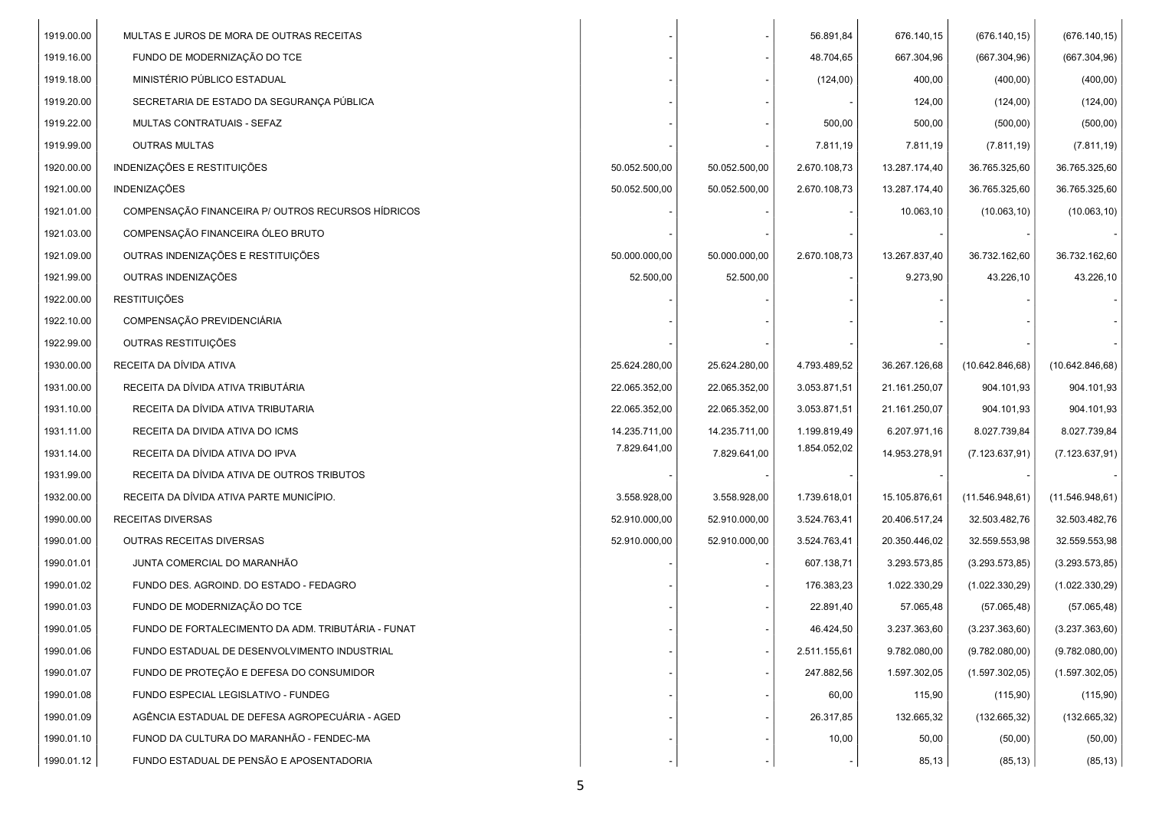| 1919.00.00 | MULTAS E JUROS DE MORA DE OUTRAS RECEITAS          |               |               | 56.891,84    | 676.140,15    | (676.140, 15)    | (676.140, 15)    |
|------------|----------------------------------------------------|---------------|---------------|--------------|---------------|------------------|------------------|
| 1919.16.00 | FUNDO DE MODERNIZAÇÃO DO TCE                       |               |               | 48.704,65    | 667.304,96    | (667.304,96)     | (667.304,96)     |
| 1919.18.00 | MINISTÉRIO PÚBLICO ESTADUAL                        |               |               | (124,00)     | 400,00        | (400,00)         | (400,00)         |
| 1919.20.00 | SECRETARIA DE ESTADO DA SEGURANÇA PÚBLICA          |               |               |              | 124,00        | (124,00)         | (124,00)         |
| 1919.22.00 | MULTAS CONTRATUAIS - SEFAZ                         |               |               | 500,00       | 500,00        | (500, 00)        | (500, 00)        |
| 1919.99.00 | OUTRAS MULTAS                                      |               |               | 7.811,19     | 7.811,19      | (7.811, 19)      | (7.811, 19)      |
| 1920.00.00 | INDENIZAÇÕES E RESTITUIÇÕES                        | 50.052.500,00 | 50.052.500,00 | 2.670.108,73 | 13.287.174,40 | 36.765.325,60    | 36.765.325,60    |
| 1921.00.00 | INDENIZAÇÕES                                       | 50.052.500,00 | 50.052.500,00 | 2.670.108,73 | 13.287.174,40 | 36.765.325,60    | 36.765.325,60    |
| 1921.01.00 | COMPENSAÇÃO FINANCEIRA P/ OUTROS RECURSOS HÍDRICOS |               |               |              | 10.063,10     | (10.063, 10)     | (10.063, 10)     |
| 1921.03.00 | COMPENSAÇÃO FINANCEIRA ÓLEO BRUTO                  |               |               |              |               |                  |                  |
| 1921.09.00 | OUTRAS INDENIZAÇÕES E RESTITUIÇÕES                 | 50.000.000,00 | 50.000.000,00 | 2.670.108,73 | 13.267.837,40 | 36.732.162,60    | 36.732.162,60    |
| 1921.99.00 | OUTRAS INDENIZAÇÕES                                | 52.500,00     | 52.500,00     |              | 9.273,90      | 43.226,10        | 43.226,10        |
| 1922.00.00 | <b>RESTITUIÇÕES</b>                                |               |               |              |               |                  |                  |
| 1922.10.00 | COMPENSAÇÃO PREVIDENCIÁRIA                         |               |               |              |               |                  |                  |
| 1922.99.00 | OUTRAS RESTITUIÇÕES                                |               |               |              |               |                  |                  |
| 1930.00.00 | RECEITA DA DÍVIDA ATIVA                            | 25.624.280,00 | 25.624.280,00 | 4.793.489,52 | 36.267.126,68 | (10.642.846, 68) | (10.642.846, 68) |
| 1931.00.00 | RECEITA DA DÍVIDA ATIVA TRIBUTÁRIA                 | 22.065.352.00 | 22.065.352,00 | 3.053.871,51 | 21.161.250,07 | 904.101,93       | 904.101,93       |
| 1931.10.00 | RECEITA DA DÍVIDA ATIVA TRIBUTARIA                 | 22.065.352,00 | 22.065.352,00 | 3.053.871,51 | 21.161.250,07 | 904.101,93       | 904.101,93       |
| 1931.11.00 | RECEITA DA DIVIDA ATIVA DO ICMS                    | 14.235.711,00 | 14.235.711,00 | 1.199.819,49 | 6.207.971,16  | 8.027.739,84     | 8.027.739,84     |
| 1931.14.00 | RECEITA DA DÍVIDA ATIVA DO IPVA                    | 7.829.641,00  | 7.829.641,00  | 1.854.052,02 | 14.953.278,91 | (7.123.637, 91)  | (7.123.637, 91)  |
| 1931.99.00 | RECEITA DA DÍVIDA ATIVA DE OUTROS TRIBUTOS         |               |               |              |               |                  |                  |
| 1932.00.00 | RECEITA DA DÍVIDA ATIVA PARTE MUNICÍPIO.           | 3.558.928,00  | 3.558.928,00  | 1.739.618,01 | 15.105.876,61 | (11.546.948, 61) | (11.546.948, 61) |
| 1990.00.00 | RECEITAS DIVERSAS                                  | 52.910.000,00 | 52.910.000,00 | 3.524.763,41 | 20.406.517,24 | 32.503.482,76    | 32.503.482,76    |
| 1990.01.00 | OUTRAS RECEITAS DIVERSAS                           | 52.910.000,00 | 52.910.000,00 | 3.524.763,41 | 20.350.446,02 | 32.559.553,98    | 32.559.553,98    |
| 1990.01.01 | JUNTA COMERCIAL DO MARANHÃO                        |               |               | 607.138,71   | 3.293.573,85  | (3.293.573, 85)  | (3.293.573, 85)  |
| 1990.01.02 | FUNDO DES. AGROIND. DO ESTADO - FEDAGRO            |               |               | 176.383,23   | 1.022.330,29  | (1.022.330, 29)  | (1.022.330, 29)  |
| 1990.01.03 | FUNDO DE MODERNIZAÇÃO DO TCE                       |               |               | 22.891,40    | 57.065,48     | (57.065, 48)     | (57.065, 48)     |
| 1990.01.05 | FUNDO DE FORTALECIMENTO DA ADM. TRIBUTÁRIA - FUNAT |               |               | 46.424,50    | 3.237.363,60  | (3.237.363,60)   | (3.237.363, 60)  |
| 1990.01.06 | FUNDO ESTADUAL DE DESENVOLVIMENTO INDUSTRIAL       |               |               | 2.511.155,61 | 9.782.080,00  | (9.782.080,00)   | (9.782.080,00)   |
| 1990.01.07 | FUNDO DE PROTEÇÃO E DEFESA DO CONSUMIDOR           |               |               | 247.882,56   | 1.597.302,05  | (1.597.302,05)   | (1.597.302,05)   |
| 1990.01.08 | FUNDO ESPECIAL LEGISLATIVO - FUNDEG                |               |               | 60,00        | 115,90        | (115,90)         | (115,90)         |
| 1990.01.09 | AGÊNCIA ESTADUAL DE DEFESA AGROPECUÁRIA - AGED     |               |               | 26.317,85    | 132.665,32    | (132.665, 32)    | (132.665, 32)    |
| 1990.01.10 | FUNOD DA CULTURA DO MARANHÃO - FENDEC-MA           |               |               | 10,00        | 50,00         | (50,00)          | (50,00)          |
| 1990.01.12 | FUNDO ESTADUAL DE PENSÃO E APOSENTADORIA           |               |               |              | 85,13         | (85, 13)         | (85, 13)         |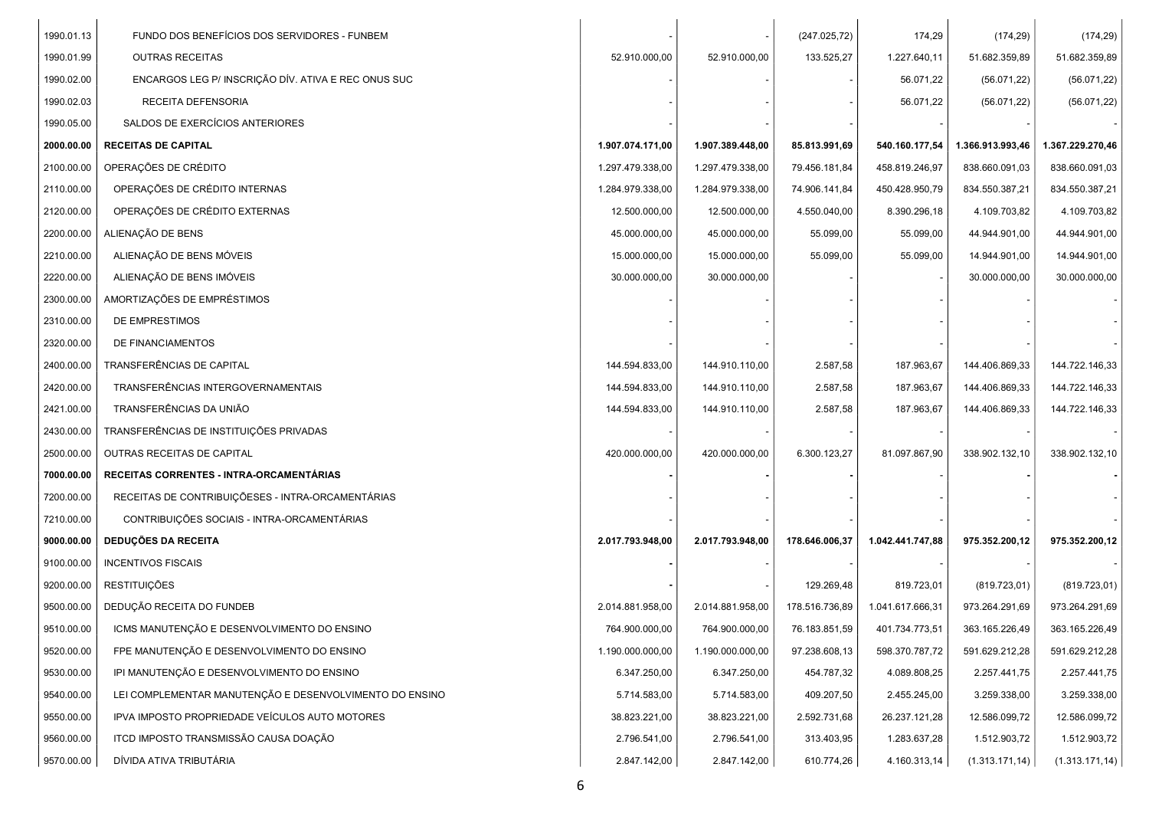| 1990.01.13 | FUNDO DOS BENEFÍCIOS DOS SERVIDORES - FUNBEM            |                  |                  | (247.025, 72)  | 174,29           | (174, 29)        | (174, 29)        |
|------------|---------------------------------------------------------|------------------|------------------|----------------|------------------|------------------|------------------|
| 1990.01.99 | <b>OUTRAS RECEITAS</b>                                  | 52.910.000,00    | 52.910.000,00    | 133.525,27     | 1.227.640,11     | 51.682.359,89    | 51.682.359,89    |
| 1990.02.00 | ENCARGOS LEG P/ INSCRIÇÃO DÍV. ATIVA E REC ONUS SUC     |                  |                  |                | 56.071,22        | (56.071, 22)     | (56.071, 22)     |
| 1990.02.03 | RECEITA DEFENSORIA                                      |                  |                  |                | 56.071,22        | (56.071, 22)     | (56.071, 22)     |
| 1990.05.00 | SALDOS DE EXERCÍCIOS ANTERIORES                         |                  |                  |                |                  |                  |                  |
| 2000.00.00 | <b>RECEITAS DE CAPITAL</b>                              | 1.907.074.171,00 | 1.907.389.448,00 | 85.813.991,69  | 540.160.177,54   | 1.366.913.993,46 | 1.367.229.270,46 |
| 2100.00.00 | OPERAÇÕES DE CRÉDITO                                    | 1.297.479.338,00 | 1.297.479.338,00 | 79.456.181,84  | 458.819.246,97   | 838.660.091,03   | 838.660.091,03   |
| 2110.00.00 | OPERAÇÕES DE CRÉDITO INTERNAS                           | 1.284.979.338,00 | 1.284.979.338,00 | 74.906.141,84  | 450.428.950,79   | 834.550.387,21   | 834.550.387,21   |
| 2120.00.00 | OPERAÇÕES DE CRÉDITO EXTERNAS                           | 12.500.000,00    | 12.500.000,00    | 4.550.040,00   | 8.390.296,18     | 4.109.703,82     | 4.109.703,82     |
| 2200.00.00 | ALIENAÇÃO DE BENS                                       | 45.000.000,00    | 45.000.000,00    | 55.099,00      | 55.099,00        | 44.944.901,00    | 44.944.901,00    |
| 2210.00.00 | ALIENAÇÃO DE BENS MÓVEIS                                | 15.000.000,00    | 15.000.000,00    | 55.099,00      | 55.099,00        | 14.944.901,00    | 14.944.901,00    |
| 2220.00.00 | ALIENAÇÃO DE BENS IMÓVEIS                               | 30.000.000,00    | 30.000.000,00    |                |                  | 30.000.000,00    | 30.000.000,00    |
| 2300.00.00 | AMORTIZAÇÕES DE EMPRÉSTIMOS                             |                  |                  |                |                  |                  |                  |
| 2310.00.00 | DE EMPRESTIMOS                                          |                  |                  |                |                  |                  |                  |
| 2320.00.00 | DE FINANCIAMENTOS                                       |                  |                  |                |                  |                  |                  |
| 2400.00.00 | TRANSFERÊNCIAS DE CAPITAL                               | 144.594.833,00   | 144.910.110,00   | 2.587,58       | 187.963,67       | 144.406.869,33   | 144.722.146,33   |
| 2420.00.00 | TRANSFERÊNCIAS INTERGOVERNAMENTAIS                      | 144.594.833,00   | 144.910.110,00   | 2.587,58       | 187.963,67       | 144.406.869,33   | 144.722.146,33   |
| 2421.00.00 | TRANSFERÊNCIAS DA UNIÃO                                 | 144.594.833,00   | 144.910.110,00   | 2.587,58       | 187.963,67       | 144.406.869,33   | 144.722.146,33   |
| 2430.00.00 | TRANSFERÊNCIAS DE INSTITUIÇÕES PRIVADAS                 |                  |                  |                |                  |                  |                  |
| 2500.00.00 | OUTRAS RECEITAS DE CAPITAL                              | 420.000.000,00   | 420.000.000,00   | 6.300.123,27   | 81.097.867,90    | 338.902.132,10   | 338.902.132,10   |
| 7000.00.00 | RECEITAS CORRENTES - INTRA-ORCAMENTÁRIAS                |                  |                  |                |                  |                  |                  |
| 7200.00.00 | RECEITAS DE CONTRIBUIÇÕESES - INTRA-ORCAMENTÁRIAS       |                  |                  |                |                  |                  |                  |
| 7210.00.00 | CONTRIBUIÇÕES SOCIAIS - INTRA-ORCAMENTÁRIAS             |                  |                  |                |                  |                  |                  |
| 9000.00.00 | DEDUÇÕES DA RECEITA                                     | 2.017.793.948,00 | 2.017.793.948,00 | 178.646.006,37 | 1.042.441.747,88 | 975.352.200,12   | 975.352.200,12   |
| 9100.00.00 | <b>INCENTIVOS FISCAIS</b>                               |                  |                  |                |                  |                  |                  |
| 9200.00.00 | <b>RESTITUIÇÕES</b>                                     |                  |                  | 129.269,48     | 819.723,01       | (819.723, 01)    | (819.723, 01)    |
| 9500.00.00 | DEDUÇÃO RECEITA DO FUNDEB                               | 2.014.881.958,00 | 2.014.881.958,00 | 178.516.736,89 | 1.041.617.666,31 | 973.264.291,69   | 973.264.291,69   |
| 9510.00.00 | ICMS MANUTENÇÃO E DESENVOLVIMENTO DO ENSINO             | 764.900.000,00   | 764.900.000,00   | 76.183.851,59  | 401.734.773,51   | 363.165.226,49   | 363.165.226,49   |
| 9520.00.00 | FPE MANUTENÇÃO E DESENVOLVIMENTO DO ENSINO              | 1.190.000.000,00 | 1.190.000.000,00 | 97.238.608,13  | 598.370.787,72   | 591.629.212,28   | 591.629.212,28   |
| 9530.00.00 | IPI MANUTENÇÃO E DESENVOLVIMENTO DO ENSINO              | 6.347.250,00     | 6.347.250,00     | 454.787,32     | 4.089.808,25     | 2.257.441,75     | 2.257.441,75     |
| 9540.00.00 | LEI COMPLEMENTAR MANUTENÇÃO E DESENVOLVIMENTO DO ENSINO | 5.714.583,00     | 5.714.583,00     | 409.207,50     | 2.455.245,00     | 3.259.338,00     | 3.259.338,00     |
| 9550.00.00 | IPVA IMPOSTO PROPRIEDADE VEÍCULOS AUTO MOTORES          | 38.823.221,00    | 38.823.221,00    | 2.592.731,68   | 26.237.121,28    | 12.586.099,72    | 12.586.099,72    |
| 9560.00.00 | ITCD IMPOSTO TRANSMISSÃO CAUSA DOAÇÃO                   | 2.796.541,00     | 2.796.541,00     | 313.403,95     | 1.283.637,28     | 1.512.903,72     | 1.512.903,72     |
| 9570.00.00 | DÍVIDA ATIVA TRIBUTÁRIA                                 | 2.847.142,00     | 2.847.142,00     | 610.774,26     | 4.160.313,14     | (1.313.171, 14)  | (1.313.171, 14)  |